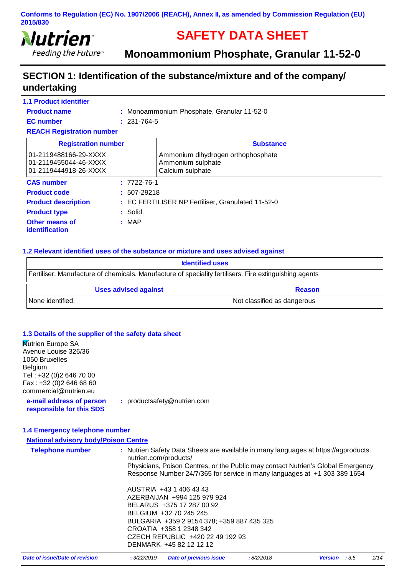

Feeding the Future"

# **SAFETY DATA SHEET**

**Monoammonium Phosphate, Granular 11-52-0**

# **SECTION 1: Identification of the substance/mixture and of the company/ undertaking**

#### Monoammonium Phosphate, Granular 11-52-0 **: Product name Other means of identification : 1.1 Product identifier Product type : Solid. CAS number :** 7722-76-1 **Product description : EC FERTILISER NP Fertiliser, Granulated 11-52-0 REACH Registration number EC number :** 231-764-5 **Registration number COVID-100 COVID-100 COVID-100 COVID-100 COVID-100 COVID-100 COVID-100 COVID-100 COVID-100 COVID-100 COVID-100 COVID-100 COVID-100 COVID-100 COVID-100 COVID-100 COVID-100 COVID-100 COVID-100 COVID-100 C Product code :** 507-29218 01-2119488166-29-XXXX Ammonium dihydrogen orthophosphate 01-2119455044-46-XXXX | Ammonium sulphate 01-2119444918-26-XXXX Calcium sulphate

#### **1.2 Relevant identified uses of the substance or mixture and uses advised against**

| <b>Identified uses</b>                                                                                 |                             |  |
|--------------------------------------------------------------------------------------------------------|-----------------------------|--|
| Fertiliser. Manufacture of chemicals. Manufacture of speciality fertilisers. Fire extinguishing agents |                             |  |
| <b>Uses advised against</b>                                                                            | <b>Reason</b>               |  |
| l None identified.                                                                                     | Not classified as dangerous |  |

#### **1.3 Details of the supplier of the safety data sheet**

| <b>Nutrien Europe SA</b>                             |                                                                                                                                                               |
|------------------------------------------------------|---------------------------------------------------------------------------------------------------------------------------------------------------------------|
| Avenue Louise 326/36                                 |                                                                                                                                                               |
| 1050 Bruxelles                                       |                                                                                                                                                               |
| Belgium                                              |                                                                                                                                                               |
| Tel: +32 (0)2 646 70 00                              |                                                                                                                                                               |
| Fax: +32 (0) 2 646 68 60                             |                                                                                                                                                               |
| commercial@nutrien.eu                                |                                                                                                                                                               |
| e-mail address of person<br>responsible for this SDS | : productsafety@nutrien.com                                                                                                                                   |
|                                                      |                                                                                                                                                               |
| 1.4 Emergency telephone number                       |                                                                                                                                                               |
| <b>National advisory body/Poison Centre</b>          |                                                                                                                                                               |
| <b>Telephone number</b>                              | : Nutrien Safety Data Sheets are available in many languages at https://agproducts.<br>nutrien.com/products/                                                  |
|                                                      | Physicians, Poison Centres, or the Public may contact Nutrien's Global Emergency<br>Response Number 24/7/365 for service in many languages at +1 303 389 1654 |
|                                                      | AUSTRIA +43 1 406 43 43                                                                                                                                       |
|                                                      | AZERBAIJAN +994 125 979 924                                                                                                                                   |
|                                                      | BELARUS +375 17 287 00 92                                                                                                                                     |
|                                                      | BELGIUM +32 70 245 245                                                                                                                                        |
|                                                      | BULGARIA +359 2 9154 378; +359 887 435 325                                                                                                                    |
|                                                      | CROATIA +358 1 2348 342                                                                                                                                       |
|                                                      | CZECH REPUBLIC +420 22 49 192 93                                                                                                                              |
|                                                      | DENMARK +45 82 12 12 12                                                                                                                                       |

| Date of issue/Date of revision | : 3/22/2019 Date of previous issue | :8/2/2018 | <b>Version</b> : 3.5 | 1/14 |
|--------------------------------|------------------------------------|-----------|----------------------|------|
|--------------------------------|------------------------------------|-----------|----------------------|------|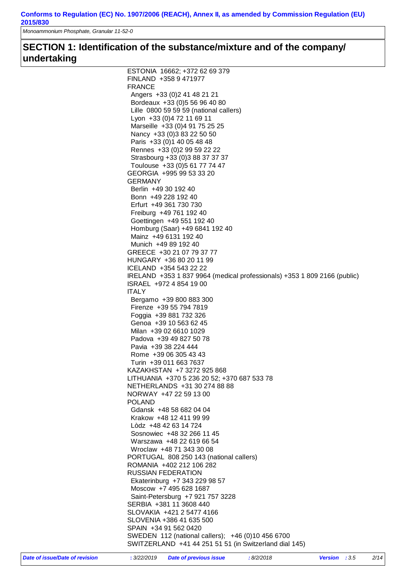*Monoammonium Phosphate, Granular 11-52-0*

# **SECTION 1: Identification of the substance/mixture and of the company/ undertaking**

| ESTONIA 16662; +372 62 69 379                                            |
|--------------------------------------------------------------------------|
| FINLAND +358 9 471977                                                    |
| <b>FRANCE</b>                                                            |
|                                                                          |
| Angers +33 (0) 2 41 48 21 21                                             |
| Bordeaux +33 (0) 5 56 96 40 80                                           |
| Lille 0800 59 59 59 (national callers)                                   |
| Lyon +33 (0) 4 72 11 69 11                                               |
| Marseille +33 (0)4 91 75 25 25                                           |
| Nancy +33 (0) 3 83 22 50 50                                              |
|                                                                          |
| Paris +33 (0) 1 40 05 48 48                                              |
| Rennes +33 (0) 2 99 59 22 22                                             |
| Strasbourg +33 (0)3 88 37 37 37                                          |
| Toulouse +33 (0) 5 61 77 74 47                                           |
| GEORGIA +995 99 53 33 20                                                 |
| GERMANY                                                                  |
| Berlin +49 30 192 40                                                     |
|                                                                          |
| Bonn +49 228 192 40                                                      |
| Erfurt +49 361 730 730                                                   |
| Freiburg +49 761 192 40                                                  |
| Goettingen +49 551 192 40                                                |
| Homburg (Saar) +49 6841 192 40                                           |
| Mainz +49 6131 192 40                                                    |
| Munich +49 89 192 40                                                     |
|                                                                          |
| GREECE +30 21 07 79 37 77                                                |
| HUNGARY +36 80 20 11 99                                                  |
| ICELAND +354 543 22 22                                                   |
| IRELAND +353 1 837 9964 (medical professionals) +353 1 809 2166 (public) |
| ISRAEL +972 4 854 19 00                                                  |
| <b>ITALY</b>                                                             |
| Bergamo +39 800 883 300                                                  |
|                                                                          |
| Firenze +39 55 794 7819                                                  |
| Foggia +39 881 732 326                                                   |
| Genoa +39 10 563 62 45                                                   |
| Milan +39 02 6610 1029                                                   |
| Padova +39 49 827 50 78                                                  |
| Pavia +39 38 224 444                                                     |
| Rome +39 06 305 43 43                                                    |
|                                                                          |
| Turin +39 011 663 7637                                                   |
| KAZAKHSTAN +7 3272 925 868                                               |
| LITHUANIA +370 5 236 20 52; +370 687 533 78                              |
| NETHERLANDS +31 30 274 88 88                                             |
| NORWAY +47 22 59 13 00                                                   |
| <b>POLAND</b>                                                            |
| Gdansk +48 58 682 04 04                                                  |
|                                                                          |
| Krakow +48 12 411 99 99                                                  |
| Lòdz +48 42 63 14 724                                                    |
| Sosnowiec +48 32 266 11 45                                               |
| Warszawa +48 22 619 66 54                                                |
| Wroclaw +48 71 343 30 08                                                 |
| PORTUGAL 808 250 143 (national callers)                                  |
| ROMANIA +402 212 106 282                                                 |
|                                                                          |
| <b>RUSSIAN FEDERATION</b>                                                |
| Ekaterinburg +7 343 229 98 57                                            |
| Moscow +7 495 628 1687                                                   |
| Saint-Petersburg +7 921 757 3228                                         |
| SERBIA +381 11 3608 440                                                  |
| SLOVAKIA +421 2 5477 4166                                                |
|                                                                          |
| SLOVENIA +386 41 635 500                                                 |
|                                                                          |
| SPAIN +34 91 562 0420                                                    |
| SWEDEN 112 (national callers); +46 (0)10 456 6700                        |
| SWITZERLAND +41 44 251 51 51 (in Switzerland dial 145)                   |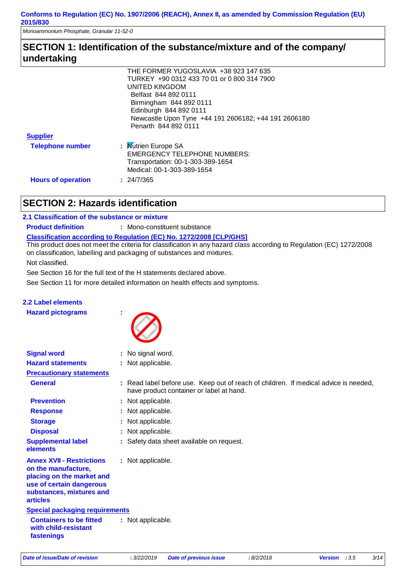## **SECTION 1: Identification of the substance/mixture and of the company/ undertaking**

|                           | THE FORMER YUGOSLAVIA +38 923 147 635                |
|---------------------------|------------------------------------------------------|
|                           | TURKEY +90 0312 433 70 01 or 0 800 314 7900          |
|                           | UNITED KINGDOM                                       |
|                           | Belfast 844 892 0111                                 |
|                           | Birmingham 844 892 0111                              |
|                           | Edinburgh 844 892 0111                               |
|                           | Newcastle Upon Tyne +44 191 2606182; +44 191 2606180 |
|                           | Penarth 844 892 0111                                 |
| <b>Supplier</b>           |                                                      |
| <b>Telephone number</b>   | : Mutrien Europe SA                                  |
|                           | <b>EMERGENCY TELEPHONE NUMBERS:</b>                  |
|                           | Transportation: 00-1-303-389-1654                    |
|                           | Medical: 00-1-303-389-1654                           |
| <b>Hours of operation</b> | : 24/7/365                                           |
|                           |                                                      |

# **SECTION 2: Hazards identification**

#### **2.1 Classification of the substance or mixture**

**Product definition : Mono-constituent substance** 

**Classification according to Regulation (EC) No. 1272/2008 [CLP/GHS]**

This product does not meet the criteria for classification in any hazard class according to Regulation (EC) 1272/2008 on classification, labelling and packaging of substances and mixtures.

Not classified.

See Section 16 for the full text of the H statements declared above.

See Section 11 for more detailed information on health effects and symptoms.

#### **2.2 Label elements**

**Hazard pictograms :**



| <b>Signal word</b>                                                                                                                                              | : No signal word.                                                                                                                |
|-----------------------------------------------------------------------------------------------------------------------------------------------------------------|----------------------------------------------------------------------------------------------------------------------------------|
| <b>Hazard statements</b>                                                                                                                                        | : Not applicable.                                                                                                                |
| <b>Precautionary statements</b>                                                                                                                                 |                                                                                                                                  |
| <b>General</b>                                                                                                                                                  | : Read label before use. Keep out of reach of children. If medical advice is needed,<br>have product container or label at hand. |
| <b>Prevention</b>                                                                                                                                               | : Not applicable.                                                                                                                |
| <b>Response</b>                                                                                                                                                 | : Not applicable.                                                                                                                |
| <b>Storage</b>                                                                                                                                                  | : Not applicable.                                                                                                                |
| <b>Disposal</b>                                                                                                                                                 | : Not applicable.                                                                                                                |
| <b>Supplemental label</b><br>elements                                                                                                                           | : Safety data sheet available on request.                                                                                        |
| <b>Annex XVII - Restrictions</b><br>on the manufacture,<br>placing on the market and<br>use of certain dangerous<br>substances, mixtures and<br><b>articles</b> | : Not applicable.                                                                                                                |
| <b>Special packaging requirements</b>                                                                                                                           |                                                                                                                                  |
| <b>Containers to be fitted</b><br>with child-resistant<br>fastenings                                                                                            | : Not applicable.                                                                                                                |

*Date of issue/Date of revision* **:** *3/22/2019 Date of previous issue : 8/2/2018 Version : 3.5 3/14*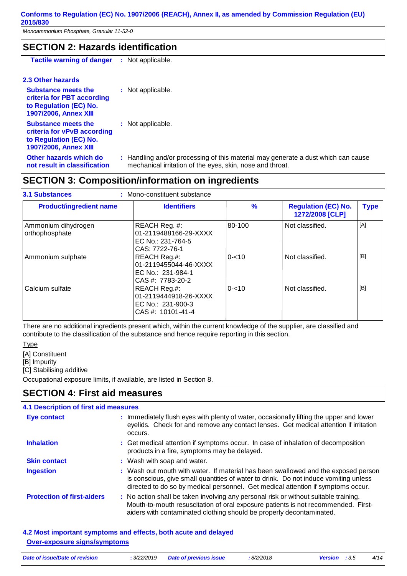## **SECTION 2: Hazards identification**

**Tactile warning of danger :** Not applicable.

#### **2.3 Other hazards**

| <b>Substance meets the</b><br>criteria for PBT according<br>to Regulation (EC) No.<br><b>1907/2006, Annex XIII</b>  | : Not applicable.                                                                                                                              |
|---------------------------------------------------------------------------------------------------------------------|------------------------------------------------------------------------------------------------------------------------------------------------|
| <b>Substance meets the</b><br>criteria for vPvB according<br>to Regulation (EC) No.<br><b>1907/2006, Annex XIII</b> | : Not applicable.                                                                                                                              |
| Other hazards which do<br>not result in classification                                                              | : Handling and/or processing of this material may generate a dust which can cause<br>mechanical irritation of the eyes, skin, nose and throat. |

## **SECTION 3: Composition/information on ingredients**

| <b>3.1 Substances</b>                 | : Mono-constituent substance                                                      |               |                                               |             |
|---------------------------------------|-----------------------------------------------------------------------------------|---------------|-----------------------------------------------|-------------|
| <b>Product/ingredient name</b>        | <b>Identifiers</b>                                                                | $\frac{9}{6}$ | <b>Regulation (EC) No.</b><br>1272/2008 [CLP] | <b>Type</b> |
| Ammonium dihydrogen<br>orthophosphate | REACH Reg. #:<br>01-2119488166-29-XXXX<br>EC No.: 231-764-5<br>CAS: 7722-76-1     | 80-100        | Not classified.                               | [A]         |
| Ammonium sulphate                     | REACH Reg.#:<br>01-2119455044-46-XXXX<br>EC No.: 231-984-1<br>CAS #: 7783-20-2    | $0 - 10$      | Not classified.                               | [B]         |
| Calcium sulfate                       | REACH Reg.#:<br>01-2119444918-26-XXXX<br>EC No.: 231-900-3<br>$CAS #: 10101-41-4$ | $0 - 10$      | Not classified.                               | [B]         |

There are no additional ingredients present which, within the current knowledge of the supplier, are classified and contribute to the classification of the substance and hence require reporting in this section.

**Type** 

[A] Constituent

[B] Impurity

[C] Stabilising additive

Occupational exposure limits, if available, are listed in Section 8.

### **SECTION 4: First aid measures**

## **4.1 Description of first aid measures**

| <b>Eye contact</b>                | : Immediately flush eyes with plenty of water, occasionally lifting the upper and lower<br>eyelids. Check for and remove any contact lenses. Get medical attention if irritation<br>occurs.                                                                    |
|-----------------------------------|----------------------------------------------------------------------------------------------------------------------------------------------------------------------------------------------------------------------------------------------------------------|
| <b>Inhalation</b>                 | : Get medical attention if symptoms occur. In case of inhalation of decomposition<br>products in a fire, symptoms may be delayed.                                                                                                                              |
| <b>Skin contact</b>               | : Wash with soap and water.                                                                                                                                                                                                                                    |
| <b>Ingestion</b>                  | : Wash out mouth with water. If material has been swallowed and the exposed person<br>is conscious, give small quantities of water to drink. Do not induce vomiting unless<br>directed to do so by medical personnel. Get medical attention if symptoms occur. |
| <b>Protection of first-aiders</b> | : No action shall be taken involving any personal risk or without suitable training.<br>Mouth-to-mouth resuscitation of oral exposure patients is not recommended. First-<br>aiders with contaminated clothing should be properly decontaminated.              |

#### **4.2 Most important symptoms and effects, both acute and delayed Over-exposure signs/symptoms**

| Date of issue/Date of revision | : 3/22/2019 | <b>Date of previous issue</b> | 8/2/2018 | <b>Version</b> : $3.5$ |  |
|--------------------------------|-------------|-------------------------------|----------|------------------------|--|
|                                |             |                               |          |                        |  |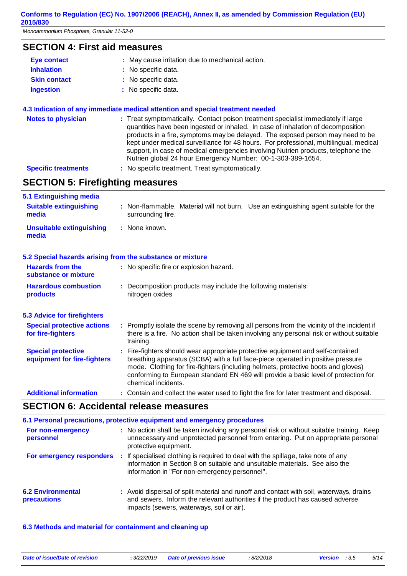*Monoammonium Phosphate, Granular 11-52-0*

### **SECTION 4: First aid measures**

| Eye contact         | : May cause irritation due to mechanical action. |
|---------------------|--------------------------------------------------|
| <b>Inhalation</b>   | : No specific data.                              |
| <b>Skin contact</b> | : No specific data.                              |
| <b>Ingestion</b>    | : No specific data.                              |

#### **4.3 Indication of any immediate medical attention and special treatment needed**

| <b>Notes to physician</b>  | : Treat symptomatically. Contact poison treatment specialist immediately if large<br>quantities have been ingested or inhaled. In case of inhalation of decomposition<br>products in a fire, symptoms may be delayed. The exposed person may need to be<br>kept under medical surveillance for 48 hours. For professional, multilingual, medical<br>support, in case of medical emergencies involving Nutrien products, telephone the<br>Nutrien global 24 hour Emergency Number: 00-1-303-389-1654. |
|----------------------------|------------------------------------------------------------------------------------------------------------------------------------------------------------------------------------------------------------------------------------------------------------------------------------------------------------------------------------------------------------------------------------------------------------------------------------------------------------------------------------------------------|
| <b>Specific treatments</b> | : No specific treatment. Treat symptomatically.                                                                                                                                                                                                                                                                                                                                                                                                                                                      |

# **SECTION 5: Firefighting measures**

| 5.1 Extinguishing media                                   |                                                                                                                                                                                                                                                                                                                                                                       |  |  |  |
|-----------------------------------------------------------|-----------------------------------------------------------------------------------------------------------------------------------------------------------------------------------------------------------------------------------------------------------------------------------------------------------------------------------------------------------------------|--|--|--|
| <b>Suitable extinguishing</b><br>media                    | : Non-flammable. Material will not burn. Use an extinguishing agent suitable for the<br>surrounding fire.                                                                                                                                                                                                                                                             |  |  |  |
| <b>Unsuitable extinguishing</b><br>media                  | : None known.                                                                                                                                                                                                                                                                                                                                                         |  |  |  |
| 5.2 Special hazards arising from the substance or mixture |                                                                                                                                                                                                                                                                                                                                                                       |  |  |  |
| <b>Hazards from the</b><br>substance or mixture           | : No specific fire or explosion hazard.                                                                                                                                                                                                                                                                                                                               |  |  |  |
| <b>Hazardous combustion</b><br>products                   | : Decomposition products may include the following materials:<br>nitrogen oxides                                                                                                                                                                                                                                                                                      |  |  |  |
| <b>5.3 Advice for firefighters</b>                        |                                                                                                                                                                                                                                                                                                                                                                       |  |  |  |
| <b>Special protective actions</b><br>for fire-fighters    | : Promptly isolate the scene by removing all persons from the vicinity of the incident if<br>there is a fire. No action shall be taken involving any personal risk or without suitable<br>training.                                                                                                                                                                   |  |  |  |
| <b>Special protective</b><br>equipment for fire-fighters  | : Fire-fighters should wear appropriate protective equipment and self-contained<br>breathing apparatus (SCBA) with a full face-piece operated in positive pressure<br>mode. Clothing for fire-fighters (including helmets, protective boots and gloves)<br>conforming to European standard EN 469 will provide a basic level of protection for<br>chemical incidents. |  |  |  |
| <b>Additional information</b>                             | : Contain and collect the water used to fight the fire for later treatment and disposal.                                                                                                                                                                                                                                                                              |  |  |  |

### **SECTION 6: Accidental release measures**

|                                         | 6.1 Personal precautions, protective equipment and emergency procedures                                                                                                                                               |
|-----------------------------------------|-----------------------------------------------------------------------------------------------------------------------------------------------------------------------------------------------------------------------|
| For non-emergency<br>personnel          | : No action shall be taken involving any personal risk or without suitable training. Keep<br>unnecessary and unprotected personnel from entering. Put on appropriate personal<br>protective equipment.                |
| For emergency responders                | : If specialised clothing is required to deal with the spillage, take note of any<br>information in Section 8 on suitable and unsuitable materials. See also the<br>information in "For non-emergency personnel".     |
| <b>6.2 Environmental</b><br>precautions | : Avoid dispersal of spilt material and runoff and contact with soil, waterways, drains<br>and sewers. Inform the relevant authorities if the product has caused adverse<br>impacts (sewers, waterways, soil or air). |

#### **6.3 Methods and material for containment and cleaning up**

*Date of issue/Date of revision* **:** *3/22/2019 Date of previous issue : 8/2/2018 Version : 3.5 5/14*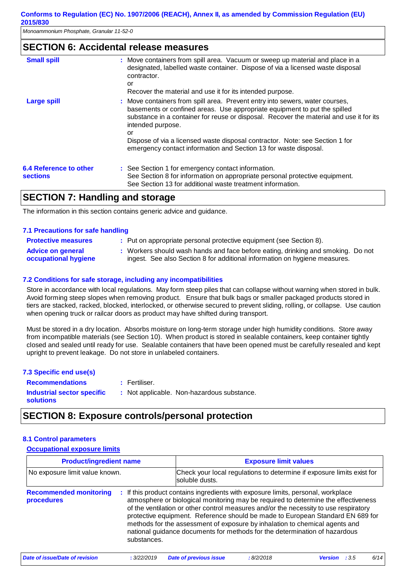### **SECTION 6: Accidental release measures**

| <b>Small spill</b>                               | : Move containers from spill area. Vacuum or sweep up material and place in a<br>designated, labelled waste container. Dispose of via a licensed waste disposal<br>contractor.<br>or<br>Recover the material and use it for its intended purpose.                                                                                                                                                                                   |
|--------------------------------------------------|-------------------------------------------------------------------------------------------------------------------------------------------------------------------------------------------------------------------------------------------------------------------------------------------------------------------------------------------------------------------------------------------------------------------------------------|
| <b>Large spill</b>                               | : Move containers from spill area. Prevent entry into sewers, water courses,<br>basements or confined areas. Use appropriate equipment to put the spilled<br>substance in a container for reuse or disposal. Recover the material and use it for its<br>intended purpose.<br>or<br>Dispose of via a licensed waste disposal contractor. Note: see Section 1 for<br>emergency contact information and Section 13 for waste disposal. |
| <b>6.4 Reference to other</b><br><b>sections</b> | : See Section 1 for emergency contact information.<br>See Section 8 for information on appropriate personal protective equipment.<br>See Section 13 for additional waste treatment information.                                                                                                                                                                                                                                     |

### **SECTION 7: Handling and storage**

The information in this section contains generic advice and guidance.

#### **7.1 Precautions for safe handling**

| <b>Protective measures</b>                              | : Put on appropriate personal protective equipment (see Section 8).                                                                                            |
|---------------------------------------------------------|----------------------------------------------------------------------------------------------------------------------------------------------------------------|
| <b>Advice on general</b><br><b>occupational hygiene</b> | : Workers should wash hands and face before eating, drinking and smoking. Do not<br>ingest. See also Section 8 for additional information on hygiene measures. |

#### **7.2 Conditions for safe storage, including any incompatibilities**

Store in accordance with local regulations. May form steep piles that can collapse without warning when stored in bulk. Avoid forming steep slopes when removing product. Ensure that bulk bags or smaller packaged products stored in tiers are stacked, racked, blocked, interlocked, or otherwise secured to prevent sliding, rolling, or collapse. Use caution when opening truck or railcar doors as product may have shifted during transport.

Must be stored in a dry location. Absorbs moisture on long-term storage under high humidity conditions. Store away from incompatible materials (see Section 10). When product is stored in sealable containers, keep container tightly closed and sealed until ready for use. Sealable containers that have been opened must be carefully resealed and kept upright to prevent leakage. Do not store in unlabeled containers.

#### **7.3 Specific end use(s) Recommendations :**

Fertiliser.

**Industrial sector specific : solutions**

: Not applicable. Non-hazardous substance.

### **SECTION 8: Exposure controls/personal protection**

#### **8.1 Control parameters**

#### **Occupational exposure limits**

| <b>Product/ingredient name</b>                    |                                                                                                                                                                                                                                                                                                                                                                                                                                                                                                                            | <b>Exposure limit values</b>                                           |           |                |      |      |  |  |
|---------------------------------------------------|----------------------------------------------------------------------------------------------------------------------------------------------------------------------------------------------------------------------------------------------------------------------------------------------------------------------------------------------------------------------------------------------------------------------------------------------------------------------------------------------------------------------------|------------------------------------------------------------------------|-----------|----------------|------|------|--|--|
| No exposure limit value known.                    | soluble dusts.                                                                                                                                                                                                                                                                                                                                                                                                                                                                                                             | Check your local regulations to determine if exposure limits exist for |           |                |      |      |  |  |
| <b>Recommended monitoring</b><br>÷.<br>procedures | If this product contains ingredients with exposure limits, personal, workplace<br>atmosphere or biological monitoring may be required to determine the effectiveness<br>of the ventilation or other control measures and/or the necessity to use respiratory<br>protective equipment. Reference should be made to European Standard EN 689 for<br>methods for the assessment of exposure by inhalation to chemical agents and<br>national guidance documents for methods for the determination of hazardous<br>substances. |                                                                        |           |                |      |      |  |  |
| Date of issue/Date of revision                    | : 3/22/2019                                                                                                                                                                                                                                                                                                                                                                                                                                                                                                                | <b>Date of previous issue</b>                                          | :8/2/2018 | <b>Version</b> | :3.5 | 6/14 |  |  |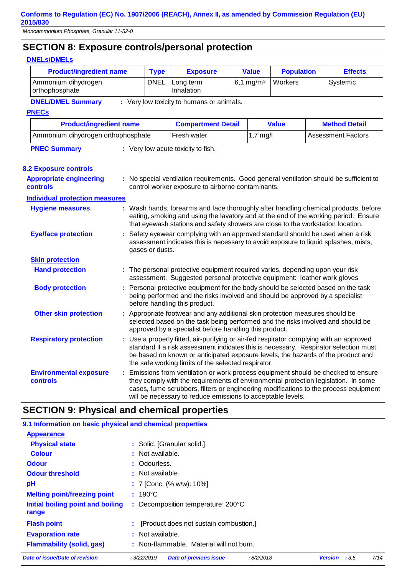# **SECTION 8: Exposure controls/personal protection**

### **DNELs/DMELs**

| ,,,,,,,,,,,,,,,,<br><b>Product/ingredient name</b> | <b>Type</b>                                                                                                                                                                                                                                                                                                                | <b>Exposure</b>                                                                                                                                                                                                                                                                                                               | <b>Value</b>          | <b>Population</b> |  | <b>Effects</b>            |  |
|----------------------------------------------------|----------------------------------------------------------------------------------------------------------------------------------------------------------------------------------------------------------------------------------------------------------------------------------------------------------------------------|-------------------------------------------------------------------------------------------------------------------------------------------------------------------------------------------------------------------------------------------------------------------------------------------------------------------------------|-----------------------|-------------------|--|---------------------------|--|
| Ammonium dihydrogen<br>orthophosphate              | <b>DNEL</b>                                                                                                                                                                                                                                                                                                                | Long term<br>Inhalation                                                                                                                                                                                                                                                                                                       | 6,1 mg/m <sup>3</sup> | Workers           |  | Systemic                  |  |
| <b>DNEL/DMEL Summary</b>                           |                                                                                                                                                                                                                                                                                                                            | : Very low toxicity to humans or animals.                                                                                                                                                                                                                                                                                     |                       |                   |  |                           |  |
| <b>PNECs</b>                                       |                                                                                                                                                                                                                                                                                                                            |                                                                                                                                                                                                                                                                                                                               |                       |                   |  |                           |  |
| <b>Product/ingredient name</b>                     |                                                                                                                                                                                                                                                                                                                            | <b>Compartment Detail</b>                                                                                                                                                                                                                                                                                                     |                       | <b>Value</b>      |  | <b>Method Detail</b>      |  |
| Ammonium dihydrogen orthophosphate                 |                                                                                                                                                                                                                                                                                                                            | Fresh water                                                                                                                                                                                                                                                                                                                   | $1,7$ mg/l            |                   |  | <b>Assessment Factors</b> |  |
| <b>PNEC Summary</b>                                |                                                                                                                                                                                                                                                                                                                            | : Very low acute toxicity to fish.                                                                                                                                                                                                                                                                                            |                       |                   |  |                           |  |
| <b>8.2 Exposure controls</b>                       |                                                                                                                                                                                                                                                                                                                            |                                                                                                                                                                                                                                                                                                                               |                       |                   |  |                           |  |
| <b>Appropriate engineering</b><br>controls         |                                                                                                                                                                                                                                                                                                                            | : No special ventilation requirements. Good general ventilation should be sufficient to<br>control worker exposure to airborne contaminants.                                                                                                                                                                                  |                       |                   |  |                           |  |
| <b>Individual protection measures</b>              |                                                                                                                                                                                                                                                                                                                            |                                                                                                                                                                                                                                                                                                                               |                       |                   |  |                           |  |
| <b>Hygiene measures</b>                            |                                                                                                                                                                                                                                                                                                                            | : Wash hands, forearms and face thoroughly after handling chemical products, before<br>eating, smoking and using the lavatory and at the end of the working period. Ensure<br>that eyewash stations and safety showers are close to the workstation location.                                                                 |                       |                   |  |                           |  |
| <b>Eye/face protection</b>                         | Safety eyewear complying with an approved standard should be used when a risk<br>assessment indicates this is necessary to avoid exposure to liquid splashes, mists,<br>gases or dusts.                                                                                                                                    |                                                                                                                                                                                                                                                                                                                               |                       |                   |  |                           |  |
| <b>Skin protection</b>                             |                                                                                                                                                                                                                                                                                                                            |                                                                                                                                                                                                                                                                                                                               |                       |                   |  |                           |  |
| <b>Hand protection</b>                             | : The personal protective equipment required varies, depending upon your risk<br>assessment. Suggested personal protective equipment: leather work gloves                                                                                                                                                                  |                                                                                                                                                                                                                                                                                                                               |                       |                   |  |                           |  |
| <b>Body protection</b>                             | : Personal protective equipment for the body should be selected based on the task<br>being performed and the risks involved and should be approved by a specialist<br>before handling this product.                                                                                                                        |                                                                                                                                                                                                                                                                                                                               |                       |                   |  |                           |  |
| <b>Other skin protection</b>                       | Appropriate footwear and any additional skin protection measures should be<br>selected based on the task being performed and the risks involved and should be<br>approved by a specialist before handling this product.                                                                                                    |                                                                                                                                                                                                                                                                                                                               |                       |                   |  |                           |  |
| <b>Respiratory protection</b>                      | : Use a properly fitted, air-purifying or air-fed respirator complying with an approved<br>standard if a risk assessment indicates this is necessary. Respirator selection must<br>be based on known or anticipated exposure levels, the hazards of the product and<br>the safe working limits of the selected respirator. |                                                                                                                                                                                                                                                                                                                               |                       |                   |  |                           |  |
| <b>Environmental exposure</b><br><b>controls</b>   |                                                                                                                                                                                                                                                                                                                            | Emissions from ventilation or work process equipment should be checked to ensure<br>they comply with the requirements of environmental protection legislation. In some<br>cases, fume scrubbers, filters or engineering modifications to the process equipment<br>will be necessary to reduce emissions to acceptable levels. |                       |                   |  |                           |  |

# **SECTION 9: Physical and chemical properties**

| 9.1 Information on basic physical and chemical properties |                                                           |                        |      |
|-----------------------------------------------------------|-----------------------------------------------------------|------------------------|------|
| <b>Appearance</b>                                         |                                                           |                        |      |
| <b>Physical state</b>                                     | : Solid. [Granular solid.]                                |                        |      |
| <b>Colour</b>                                             | : Not available.                                          |                        |      |
| <b>Odour</b>                                              | : Odourless.                                              |                        |      |
| <b>Odour threshold</b>                                    | : Not available.                                          |                        |      |
| рH                                                        | : 7 [Conc. $% w/w$ ]: 10%]                                |                        |      |
| <b>Melting point/freezing point</b>                       | $: 190^{\circ}$ C                                         |                        |      |
| Initial boiling point and boiling<br>range                | : Decomposition temperature: 200°C                        |                        |      |
| <b>Flash point</b>                                        | [Product does not sustain combustion.]                    |                        |      |
| <b>Evaporation rate</b>                                   | : Not available.                                          |                        |      |
| <b>Flammability (solid, gas)</b>                          | : Non-flammable. Material will not burn.                  |                        |      |
| Date of issue/Date of revision                            | : 3/22/2019<br><b>Date of previous issue</b><br>:8/2/2018 | <b>Version</b><br>:3.5 | 7/14 |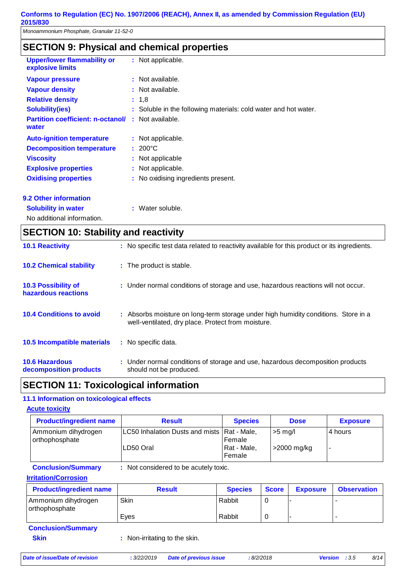# **SECTION 9: Physical and chemical properties**

| <b>Upper/lower flammability or</b><br>explosive limits | : Not applicable.                                               |
|--------------------------------------------------------|-----------------------------------------------------------------|
| <b>Vapour pressure</b>                                 | : Not available.                                                |
| <b>Vapour density</b>                                  | : Not available.                                                |
| <b>Relative density</b>                                | : 1.8                                                           |
| <b>Solubility(ies)</b>                                 | : Soluble in the following materials: cold water and hot water. |
| <b>Partition coefficient: n-octanol/</b><br>water      | : Not available.                                                |
| <b>Auto-ignition temperature</b>                       | : Not applicable.                                               |
| <b>Decomposition temperature</b>                       | $: 200^{\circ}$ C                                               |
| <b>Viscosity</b>                                       | : Not applicable                                                |
| <b>Explosive properties</b>                            | : Not applicable.                                               |
| <b>Oxidising properties</b>                            | : No oxidising ingredients present.                             |
| <b>9.2 Other information</b>                           |                                                                 |
| <b>Solubility in water</b>                             | : Water soluble.                                                |

No additional information.

| <b>SECTION 10: Stability and reactivity</b>       |                                                                                                                                          |  |  |  |
|---------------------------------------------------|------------------------------------------------------------------------------------------------------------------------------------------|--|--|--|
| <b>10.1 Reactivity</b>                            | : No specific test data related to reactivity available for this product or its ingredients.                                             |  |  |  |
| <b>10.2 Chemical stability</b>                    | : The product is stable.                                                                                                                 |  |  |  |
| <b>10.3 Possibility of</b><br>hazardous reactions | : Under normal conditions of storage and use, hazardous reactions will not occur.                                                        |  |  |  |
| <b>10.4 Conditions to avoid</b>                   | : Absorbs moisture on long-term storage under high humidity conditions. Store in a<br>well-ventilated, dry place. Protect from moisture. |  |  |  |
| 10.5 Incompatible materials                       | : No specific data.                                                                                                                      |  |  |  |
| <b>10.6 Hazardous</b><br>decomposition products   | : Under normal conditions of storage and use, hazardous decomposition products<br>should not be produced.                                |  |  |  |

## **SECTION 11: Toxicological information**

#### **11.1 Information on toxicological effects**

#### **Acute toxicity**

| <b>Product/ingredient name</b>        | <b>Result</b>                                              | <b>Species</b>                  | <b>Dose</b>              | <b>Exposure</b> |
|---------------------------------------|------------------------------------------------------------|---------------------------------|--------------------------|-----------------|
| Ammonium dihydrogen<br>orthophosphate | LC50 Inhalation Dusts and mists   Rat - Male,<br>LD50 Oral | Female<br>Rat - Male,<br>Female | $>5$ mg/l<br>>2000 mg/kg | 4 hours         |

#### **Conclusion/Summary :** Not considered to be acutely toxic. **Irritation/Corrosion**

| <b>Product/ingredient name</b>        | <b>Result</b> | <b>Species</b> | <b>Score</b> | <b>Exposure</b> | <b>Observation</b> |
|---------------------------------------|---------------|----------------|--------------|-----------------|--------------------|
| Ammonium dihydrogen<br>orthophosphate | Skin          | Rabbit         |              |                 |                    |
|                                       | Eves          | Rabbit         |              |                 |                    |

| <b>Conclusion/Summary</b> |             |
|---------------------------|-------------|
| <b>Skin</b>               | : Non-irrit |

tating to the skin.

```
Date of issue/Date of revision : 3/22/2019 Date of previous issue : 8/2/2018 Version : 3.5 8/14
```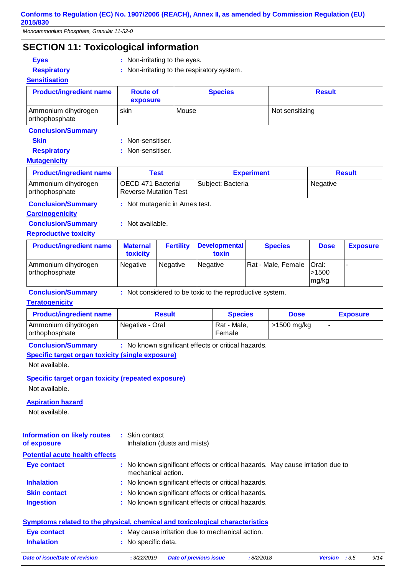*Monoammonium Phosphate, Granular 11-52-0*

## **SECTION 11: Toxicological information**

- 
- **Eyes** : Non-irritating to the eyes.
- 
- **Respiratory :** Non-irritating to the respiratory system.
- 

| <b>Sensitisation</b>                  |                               |                |                 |  |
|---------------------------------------|-------------------------------|----------------|-----------------|--|
| <b>Product/ingredient name</b>        | <b>Route of</b><br>exposure   | <b>Species</b> | <b>Result</b>   |  |
| Ammonium dihydrogen<br>orthophosphate | skin                          | Mouse          | Not sensitizing |  |
| <b>Conclusion/Summary</b>             |                               |                |                 |  |
| <b>ALL</b>                            | the Miller and an article and |                |                 |  |

**Skin** : Non-sensitiser.

**Respiratory : Non-sensitiser.** 

#### **Mutagenicity**

| <b>Product/ingredient name</b>        | Test                                               | <b>Experiment</b> | <b>Result</b> |
|---------------------------------------|----------------------------------------------------|-------------------|---------------|
| Ammonium dihydrogen<br>orthophosphate | OECD 471 Bacterial<br><b>Reverse Mutation Test</b> | Subject: Bacteria | Negative      |
| Constantinoplant Communication        | . Net soutcoasta in Association                    |                   |               |

| : Not mutagenic in Ames test. |
|-------------------------------|
|                               |

# **Carcinogenicity**

**Conclusion/Summary :** Not available.

#### **Reproductive toxicity**

| <b>Product/ingredient name</b>          | <b>Maternal</b><br>toxicity | <b>Fertility</b> | <b>Developmental</b><br>toxin | <b>Species</b>             | <b>Dose</b>     | <b>Exposure</b> |
|-----------------------------------------|-----------------------------|------------------|-------------------------------|----------------------------|-----------------|-----------------|
| Ammonium dihydrogen<br>l orthophosphate | <b>Negative</b>             | Negative         | Negative                      | Rat - Male, Female   Oral: | > 1500<br>mg/kg |                 |

**Conclusion/Summary :** Not considered to be toxic to the reproductive system.

#### **Teratogenicity**

| <b>Product/ingredient name</b>        | <b>Result</b>   | <b>Species</b>        | <b>Dose</b> | <b>Exposure</b> |
|---------------------------------------|-----------------|-----------------------|-------------|-----------------|
| Ammonium dihydrogen<br>orthophosphate | Negative - Oral | Rat - Male,<br>Female | >1500 mg/kg |                 |

**Conclusion/Summary :** No known significant effects or critical hazards.

#### **Specific target organ toxicity (single exposure)**

Not available.

**Specific target organ toxicity (repeated exposure)** Not available.

**Aspiration hazard**

Not available.

| <b>Information on likely routes</b><br>of exposure | : Skin contact<br>Inhalation (dusts and mists)                                                        |
|----------------------------------------------------|-------------------------------------------------------------------------------------------------------|
| <b>Potential acute health effects</b>              |                                                                                                       |
| Eye contact                                        | : No known significant effects or critical hazards. May cause irritation due to<br>mechanical action. |
| <b>Inhalation</b>                                  | : No known significant effects or critical hazards.                                                   |
| <b>Skin contact</b>                                | : No known significant effects or critical hazards.                                                   |
| <b>Ingestion</b>                                   | : No known significant effects or critical hazards.                                                   |

### **Symptoms related to the physical, chemical and toxicological characteristics**

| Eye contact       | May cause irritation due to mechanical action. |
|-------------------|------------------------------------------------|
| <b>Inhalation</b> | No specific data.                              |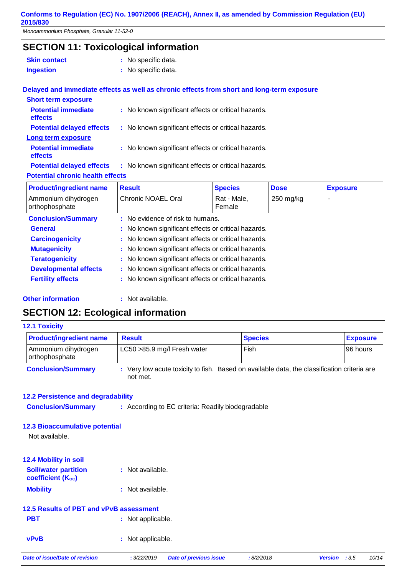*Monoammonium Phosphate, Granular 11-52-0*

## **SECTION 11: Toxicological information**

- **Skin contact** : No specific data.
- **Ingestion has constructed that the set of the set of the set of the set of the set of the set of the set of the set of the set of the set of the set of the set of the set of the set of the set of the set of the set of t**

#### **Delayed and immediate effects as well as chronic effects from short and long-term exposure**

| <b>Short term exposure</b>              |                                                     |
|-----------------------------------------|-----------------------------------------------------|
| <b>Potential immediate</b><br>effects   | : No known significant effects or critical hazards. |
| <b>Potential delayed effects</b>        | : No known significant effects or critical hazards. |
| Long term exposure                      |                                                     |
| <b>Potential immediate</b><br>effects   | : No known significant effects or critical hazards. |
| <b>Potential delayed effects</b>        | : No known significant effects or critical hazards. |
| <b>Potential chronic health effects</b> |                                                     |

| <b>Product/ingredient name</b>        | <b>Result</b>                                       | <b>Species</b>        | <b>Dose</b> | <b>Exposure</b> |
|---------------------------------------|-----------------------------------------------------|-----------------------|-------------|-----------------|
| Ammonium dihydrogen<br>orthophosphate | Chronic NOAEL Oral                                  | Rat - Male,<br>Female | 250 mg/kg   |                 |
| <b>Conclusion/Summary</b>             | : No evidence of risk to humans.                    |                       |             |                 |
| <b>General</b>                        | : No known significant effects or critical hazards. |                       |             |                 |
| <b>Carcinogenicity</b>                | : No known significant effects or critical hazards. |                       |             |                 |
| <b>Mutagenicity</b>                   | : No known significant effects or critical hazards. |                       |             |                 |
| <b>Teratogenicity</b>                 | : No known significant effects or critical hazards. |                       |             |                 |
| <b>Developmental effects</b>          | : No known significant effects or critical hazards. |                       |             |                 |
| <b>Fertility effects</b>              | : No known significant effects or critical hazards. |                       |             |                 |
|                                       |                                                     |                       |             |                 |

#### **Other information :**

: Not available.

## **SECTION 12: Ecological information**

#### **12.1 Toxicity**

| <b>Product/ingredient name</b>        | <b>Result</b>                                                                                           | <b>Species</b> | <b>Exposure</b> |
|---------------------------------------|---------------------------------------------------------------------------------------------------------|----------------|-----------------|
| Ammonium dihydrogen<br>orthophosphate | LC50 > 85.9 mg/l Fresh water                                                                            | Fish           | 96 hours        |
| <b>Conclusion/Summary</b>             | : Very low acute toxicity to fish. Based on available data, the classification criteria are<br>not met. |                |                 |

#### **12.2 Persistence and degradability**

**Conclusion/Summary :** According to EC criteria: Readily biodegradable

#### **12.3 Bioaccumulative potential**

Not available.

# **12.4 Mobility in soil**

| <b>Soil/water partition</b> | : Not available. |
|-----------------------------|------------------|
| <b>coefficient (Koc)</b>    |                  |
| <b>Mobility</b>             | : Not available. |

#### **12.5 Results of PBT and vPvB assessment**

| <b>PBT</b> | : Not applicable. |
|------------|-------------------|
|            |                   |

**vPvB** : Not applicable.

*Date of issue/Date of revision* **:** *3/22/2019 Date of previous issue : 8/2/2018 Version : 3.5 10/14*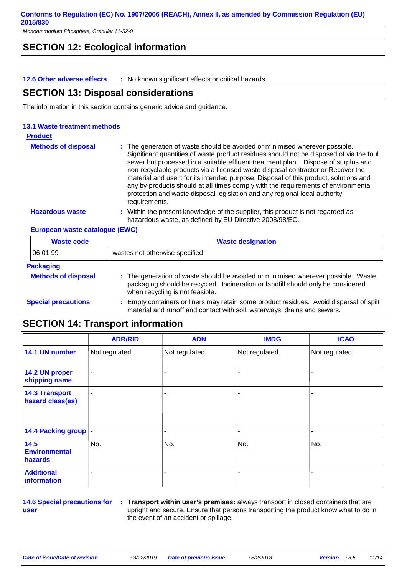*Monoammonium Phosphate, Granular 11-52-0*

## **SECTION 12: Ecological information**

**12.6 Other adverse effects :** No known significant effects or critical hazards.

#### **SECTION 13: Disposal considerations**

The information in this section contains generic advice and guidance.

#### **13.1 Waste treatment methods**

| <b>Product</b>             |                                                                                                                                                                                                                                                                                                                                                                                                                                                                                                                                                                                                                              |
|----------------------------|------------------------------------------------------------------------------------------------------------------------------------------------------------------------------------------------------------------------------------------------------------------------------------------------------------------------------------------------------------------------------------------------------------------------------------------------------------------------------------------------------------------------------------------------------------------------------------------------------------------------------|
| <b>Methods of disposal</b> | : The generation of waste should be avoided or minimised wherever possible.<br>Significant quantities of waste product residues should not be disposed of via the foul<br>sewer but processed in a suitable effluent treatment plant. Dispose of surplus and<br>non-recyclable products via a licensed waste disposal contractor.or Recover the<br>material and use it for its intended purpose. Disposal of this product, solutions and<br>any by-products should at all times comply with the requirements of environmental<br>protection and waste disposal legislation and any regional local authority<br>requirements. |
| <b>Hazardous waste</b>     | : Within the present knowledge of the supplier, this product is not regarded as<br>hazardous waste, as defined by EU Directive 2008/98/EC.                                                                                                                                                                                                                                                                                                                                                                                                                                                                                   |

**European waste catalogue (EWC)**

| <b>Waste code</b>          | <b>Waste designation</b>                                                                                                                                                                                 |  |  |
|----------------------------|----------------------------------------------------------------------------------------------------------------------------------------------------------------------------------------------------------|--|--|
| 06 01 99                   | wastes not otherwise specified                                                                                                                                                                           |  |  |
| <b>Packaging</b>           |                                                                                                                                                                                                          |  |  |
| <b>Methods of disposal</b> | : The generation of waste should be avoided or minimised wherever possible. Waste<br>packaging should be recycled. Incineration or landfill should only be considered<br>when recycling is not feasible. |  |  |
| <b>Special precautions</b> | : Empty containers or liners may retain some product residues. Avoid dispersal of spilt<br>material and runoff and contact with soil, waterways, drains and sewers.                                      |  |  |

### **SECTION 14: Transport information**

|                                           | <b>ADR/RID</b> | <b>ADN</b>     | <b>IMDG</b>    | <b>ICAO</b>    |
|-------------------------------------------|----------------|----------------|----------------|----------------|
| 14.1 UN number                            | Not regulated. | Not regulated. | Not regulated. | Not regulated. |
| 14.2 UN proper<br>shipping name           | $\blacksquare$ |                |                |                |
| <b>14.3 Transport</b><br>hazard class(es) | $\blacksquare$ |                |                |                |
| 14.4 Packing group  -                     |                |                |                |                |
| 14.5<br><b>Environmental</b><br>hazards   | No.            | No.            | No.            | No.            |
| <b>Additional</b><br>information          | ۰              |                |                |                |

**14.6 Special precautions for user**

**Transport within user's premises:** always transport in closed containers that are **:** upright and secure. Ensure that persons transporting the product know what to do in the event of an accident or spillage.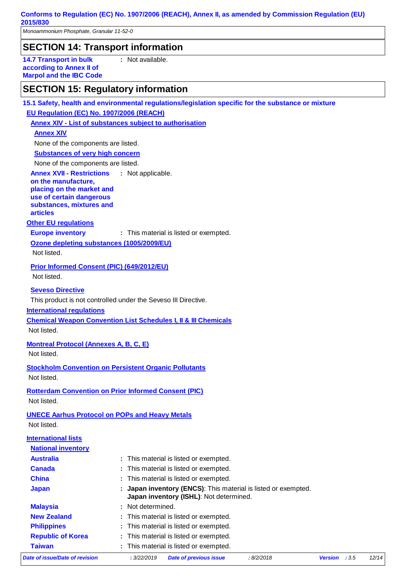*Monoammonium Phosphate, Granular 11-52-0*

# **SECTION 14: Transport information**

**14.7 Transport in bulk according to Annex II of Marpol and the IBC Code** **:** Not available.

## **SECTION 15: Regulatory information**

**15.1 Safety, health and environmental regulations/legislation specific for the substance or mixture**

**EU Regulation (EC) No. 1907/2006 (REACH)**

#### **Annex XIV - List of substances subject to authorisation**

#### **Annex XIV**

None of the components are listed.

**Substances of very high concern**

None of the components are listed.

**Annex XVII - Restrictions on the manufacture, :**

### **placing on the market and**

**use of certain dangerous substances, mixtures and articles**

#### **Other EU regulations**

**Europe inventory** : This material is listed or exempted.

#### **Ozone depleting substances (1005/2009/EU)**

Not listed.

**Prior Informed Consent (PIC) (649/2012/EU)** Not listed.

#### **Seveso Directive**

This product is not controlled under the Seveso III Directive.

#### **International regulations**

**Chemical Weapon Convention List Schedules I, II & III Chemicals**

Not listed.

#### **Montreal Protocol (Annexes A, B, C, E)**

Not listed.

**Stockholm Convention on Persistent Organic Pollutants** Not listed.

#### **Rotterdam Convention on Prior Informed Consent (PIC)** Not listed.

### **UNECE Aarhus Protocol on POPs and Heavy Metals**

Not listed.

### **International lists**

| Date of issue/Date of revision | : 3/22/2019<br><b>Date of previous issue</b><br>:8/2/2018                                               | <b>Version</b> | :3.5 | 12/14 |  |  |
|--------------------------------|---------------------------------------------------------------------------------------------------------|----------------|------|-------|--|--|
| <b>Taiwan</b>                  | : This material is listed or exempted.                                                                  |                |      |       |  |  |
| <b>Republic of Korea</b>       | : This material is listed or exempted.                                                                  |                |      |       |  |  |
| <b>Philippines</b>             | : This material is listed or exempted.                                                                  |                |      |       |  |  |
| <b>New Zealand</b>             | : This material is listed or exempted.                                                                  |                |      |       |  |  |
| <b>Malaysia</b>                | : Not determined.                                                                                       |                |      |       |  |  |
| <b>Japan</b>                   | Japan inventory (ENCS): This material is listed or exempted.<br>Japan inventory (ISHL): Not determined. |                |      |       |  |  |
| <b>China</b>                   | : This material is listed or exempted.<br>Canada<br>: This material is listed or exempted.              |                |      |       |  |  |
|                                |                                                                                                         |                |      |       |  |  |
| <b>Australia</b>               | : This material is listed or exempted.                                                                  |                |      |       |  |  |
| <b>National inventory</b>      |                                                                                                         |                |      |       |  |  |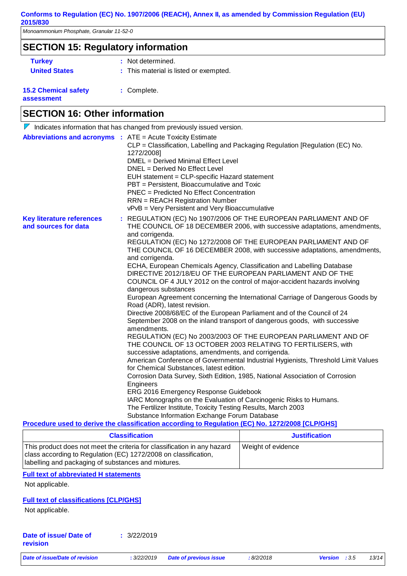*Monoammonium Phosphate, Granular 11-52-0*

### **SECTION 15: Regulatory information**

- 
- **Turkey : Not determined.**
- **United States :** This material is listed or exempted.

#### **15.2 Chemical safety assessment**

**:** Complete.

# **SECTION 16: Other information**

**Key literature references and sources for data :** REGULATION (EC) No 1907/2006 OF THE EUROPEAN PARLIAMENT AND OF THE COUNCIL OF 18 DECEMBER 2006, with successive adaptations, amendments, and corrigenda. REGULATION (EC) No 1272/2008 OF THE EUROPEAN PARLIAMENT AND OF THE COUNCIL OF 16 DECEMBER 2008, with successive adaptations, amendments, and corrigenda. ECHA, European Chemicals Agency, Classification and Labelling Database DIRECTIVE 2012/18/EU OF THE EUROPEAN PARLIAMENT AND OF THE COUNCIL OF 4 JULY 2012 on the control of major-accident hazards involving dangerous substances European Agreement concerning the International Carriage of Dangerous Goods by Road (ADR), latest revision. Directive 2008/68/EC of the European Parliament and of the Council of 24 September 2008 on the inland transport of dangerous goods, with successive amendments. REGULATION (EC) No 2003/2003 OF THE EUROPEAN PARLIAMENT AND OF THE COUNCIL OF 13 OCTOBER 2003 RELATING TO FERTILISERS, with successive adaptations, amendments, and corrigenda. American Conference of Governmental Industrial Hygienists, Threshold Limit Values for Chemical Substances, latest edition. Corrosion Data Survey, Sixth Edition, 1985, National Association of Corrosion **Engineers** ERG 2016 Emergency Response Guidebook IARC Monographs on the Evaluation of Carcinogenic Risks to Humans. The Fertilizer Institute, Toxicity Testing Results, March 2003 Substance Information Exchange Forum Database  $\nabla$  Indicates information that has changed from previously issued version. **Abbreviations and acronyms :** ATE = Acute Toxicity Estimate CLP = Classification, Labelling and Packaging Regulation [Regulation (EC) No. 1272/2008] DMEL = Derived Minimal Effect Level DNEL = Derived No Effect Level EUH statement = CLP-specific Hazard statement PBT = Persistent, Bioaccumulative and Toxic PNEC = Predicted No Effect Concentration RRN = REACH Registration Number vPvB = Very Persistent and Very Bioaccumulative **Procedure used to derive the classification according to Regulation (EC) No. 1272/2008 [CLP/GHS]**

| <b>Classification</b>                                                                                                                                                                               | <b>Justification</b> |
|-----------------------------------------------------------------------------------------------------------------------------------------------------------------------------------------------------|----------------------|
| This product does not meet the criteria for classification in any hazard<br>class according to Regulation (EC) 1272/2008 on classification,<br>I abelling and packaging of substances and mixtures. | Weight of evidence   |

#### **Full text of abbreviated H statements**

Not applicable.

### **Full text of classifications [CLP/GHS]**

Not applicable.

| Date of issue/ Date of | : 3/22/2019 |
|------------------------|-------------|
| revision               |             |

|  |  | Date of issue/Date of revision |
|--|--|--------------------------------|
|  |  |                                |